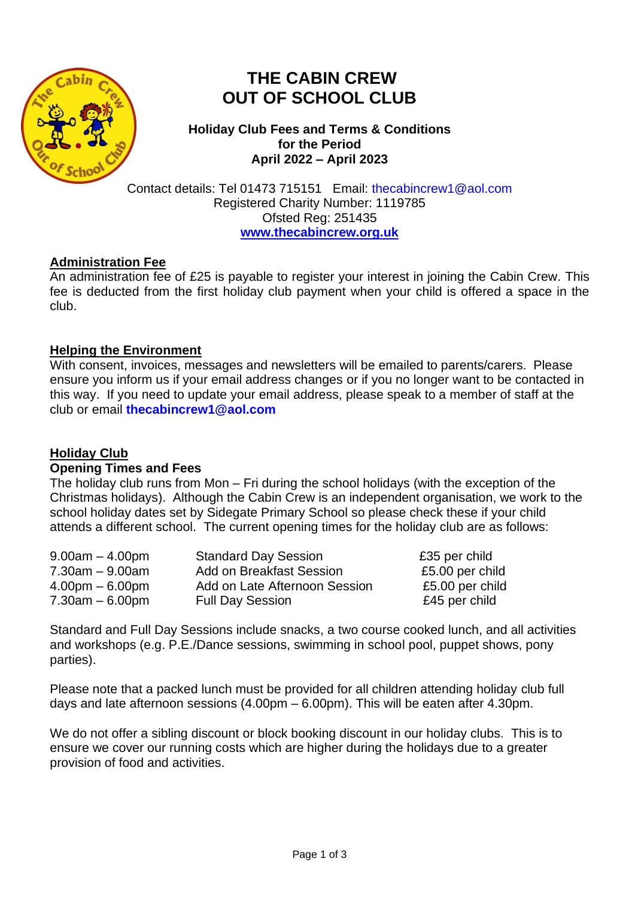

# **THE CABIN CREW OUT OF SCHOOL CLUB**

**Holiday Club Fees and Terms & Conditions for the Period April 2022 – April 2023**

Contact details: Tel 01473 715151 Email: [thecabincrew1@aol.com](mailto:thecabincrew1@aol.com) Registered Charity Number: 1119785 Ofsted Reg: 251435 **[www.thecabincrew.org.uk](http://www.thecabincrew.org.uk/)**

## **Administration Fee**

An administration fee of £25 is payable to register your interest in joining the Cabin Crew. This fee is deducted from the first holiday club payment when your child is offered a space in the club.

# **Helping the Environment**

With consent, invoices, messages and newsletters will be emailed to parents/carers. Please ensure you inform us if your email address changes or if you no longer want to be contacted in this way. If you need to update your email address, please speak to a member of staff at the club or email **[thecabincrew1@aol.com](mailto:thecabincrew1@aol.com)**

# **Holiday Club**

## **Opening Times and Fees**

The holiday club runs from Mon – Fri during the school holidays (with the exception of the Christmas holidays). Although the Cabin Crew is an independent organisation, we work to the school holiday dates set by Sidegate Primary School so please check these if your child attends a different school. The current opening times for the holiday club are as follows:

| $9.00am - 4.00pm$    | <b>Standard Day Session</b>     | £35 per child   |
|----------------------|---------------------------------|-----------------|
| $7.30$ am $-9.00$ am | <b>Add on Breakfast Session</b> | £5.00 per child |
| $4.00pm - 6.00pm$    | Add on Late Afternoon Session   | £5.00 per child |
| $7.30$ am $-6.00$ pm | <b>Full Day Session</b>         | £45 per child   |

Standard and Full Day Sessions include snacks, a two course cooked lunch, and all activities and workshops (e.g. P.E./Dance sessions, swimming in school pool, puppet shows, pony parties).

Please note that a packed lunch must be provided for all children attending holiday club full days and late afternoon sessions (4.00pm – 6.00pm). This will be eaten after 4.30pm.

We do not offer a sibling discount or block booking discount in our holiday clubs. This is to ensure we cover our running costs which are higher during the holidays due to a greater provision of food and activities.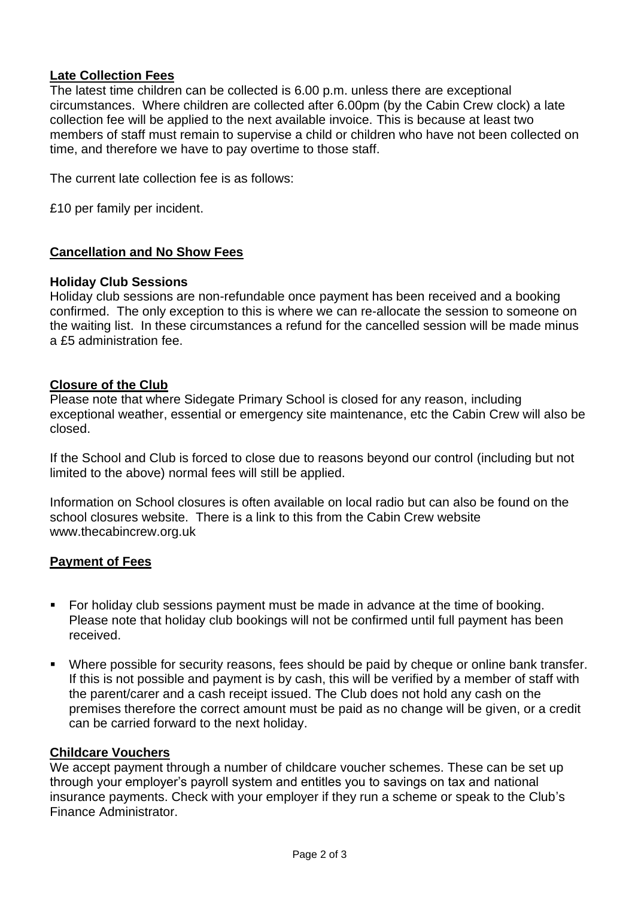## **Late Collection Fees**

The latest time children can be collected is 6.00 p.m. unless there are exceptional circumstances. Where children are collected after 6.00pm (by the Cabin Crew clock) a late collection fee will be applied to the next available invoice. This is because at least two members of staff must remain to supervise a child or children who have not been collected on time, and therefore we have to pay overtime to those staff.

The current late collection fee is as follows:

£10 per family per incident.

## **Cancellation and No Show Fees**

#### **Holiday Club Sessions**

Holiday club sessions are non-refundable once payment has been received and a booking confirmed. The only exception to this is where we can re-allocate the session to someone on the waiting list. In these circumstances a refund for the cancelled session will be made minus a £5 administration fee.

#### **Closure of the Club**

Please note that where Sidegate Primary School is closed for any reason, including exceptional weather, essential or emergency site maintenance, etc the Cabin Crew will also be closed.

If the School and Club is forced to close due to reasons beyond our control (including but not limited to the above) normal fees will still be applied.

Information on School closures is often available on local radio but can also be found on the school closures website. There is a link to this from the Cabin Crew website www.thecabincrew.org.uk

## **Payment of Fees**

- For holiday club sessions payment must be made in advance at the time of booking. Please note that holiday club bookings will not be confirmed until full payment has been received.
- Where possible for security reasons, fees should be paid by cheque or online bank transfer. If this is not possible and payment is by cash, this will be verified by a member of staff with the parent/carer and a cash receipt issued. The Club does not hold any cash on the premises therefore the correct amount must be paid as no change will be given, or a credit can be carried forward to the next holiday.

#### **Childcare Vouchers**

We accept payment through a number of childcare voucher schemes. These can be set up through your employer's payroll system and entitles you to savings on tax and national insurance payments. Check with your employer if they run a scheme or speak to the Club's Finance Administrator.